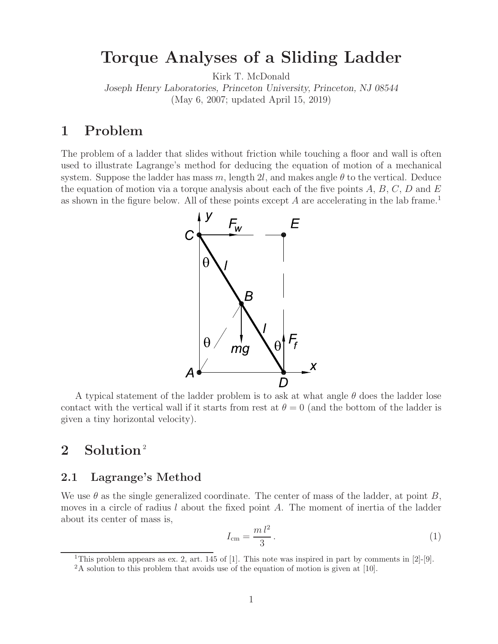# **Torque Analyses of a Sliding Ladder**

Kirk T. McDonald

*Joseph Henry Laboratories, Princeton University, Princeton, NJ 08544* (May 6, 2007; updated April 15, 2019)

# **1 Problem**

The problem of a ladder that slides without friction while touching a floor and wall is often used to illustrate Lagrange's method for deducing the equation of motion of a mechanical system. Suppose the ladder has mass m, length 2l, and makes angle  $\theta$  to the vertical. Deduce the equation of motion via a torque analysis about each of the five points  $A, B, C, D$  and  $E$ as shown in the figure below. All of these points except  $A$  are accelerating in the lab frame.<sup>1</sup>



A typical statement of the ladder problem is to ask at what angle  $\theta$  does the ladder lose contact with the vertical wall if it starts from rest at  $\theta = 0$  (and the bottom of the ladder is given a tiny horizontal velocity).

# 2 Solution<sup>2</sup>

### **2.1 Lagrange's Method**

We use  $\theta$  as the single generalized coordinate. The center of mass of the ladder, at point B, moves in a circle of radius  $l$  about the fixed point  $A$ . The moment of inertia of the ladder about its center of mass is,

$$
I_{\rm cm} = \frac{m l^2}{3} \,. \tag{1}
$$

<sup>1</sup>This problem appears as ex. 2, art. 145 of [1]. This note was inspired in part by comments in [2]-[9].

<sup>&</sup>lt;sup>2</sup>A solution to this problem that avoids use of the equation of motion is given at [10].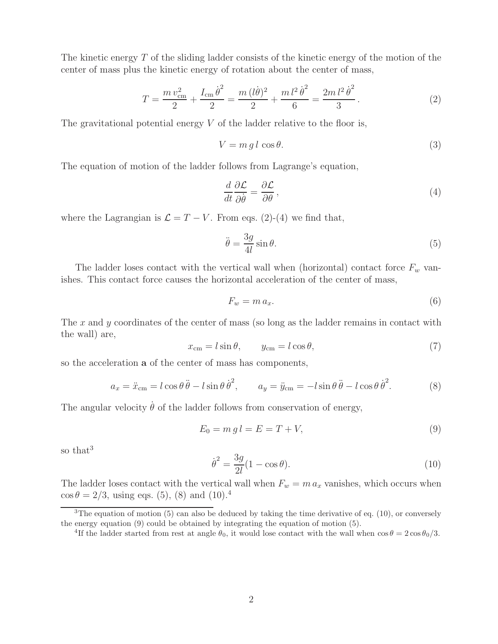The kinetic energy  $T$  of the sliding ladder consists of the kinetic energy of the motion of the center of mass plus the kinetic energy of rotation about the center of mass,

$$
T = \frac{m v_{\rm cm}^2}{2} + \frac{I_{\rm cm} \dot{\theta}^2}{2} = \frac{m (l\dot{\theta})^2}{2} + \frac{m l^2 \dot{\theta}^2}{6} = \frac{2m l^2 \dot{\theta}^2}{3}.
$$
 (2)

The gravitational potential energy  $V$  of the ladder relative to the floor is,

$$
V = m \, g \, l \, \cos \theta. \tag{3}
$$

The equation of motion of the ladder follows from Lagrange's equation,

$$
\frac{d}{dt}\frac{\partial \mathcal{L}}{\partial \dot{\theta}} = \frac{\partial \mathcal{L}}{\partial \theta},\tag{4}
$$

where the Lagrangian is  $\mathcal{L} = T - V$ . From eqs. (2)-(4) we find that,

$$
\ddot{\theta} = \frac{3g}{4l} \sin \theta. \tag{5}
$$

The ladder loses contact with the vertical wall when (horizontal) contact force  $F_w$  vanishes. This contact force causes the horizontal acceleration of the center of mass,

$$
F_w = m a_x. \tag{6}
$$

The x and y coordinates of the center of mass (so long as the ladder remains in contact with the wall) are,

$$
x_{\rm cm} = l\sin\theta, \qquad y_{\rm cm} = l\cos\theta,\tag{7}
$$

so the acceleration **a** of the center of mass has components,

$$
a_x = \ddot{x}_{\rm cm} = l \cos \theta \ddot{\theta} - l \sin \theta \dot{\theta}^2, \qquad a_y = \ddot{y}_{\rm cm} = -l \sin \theta \ddot{\theta} - l \cos \theta \dot{\theta}^2. \tag{8}
$$

The angular velocity  $\dot{\theta}$  of the ladder follows from conservation of energy,

$$
E_0 = m \, g \, l = E = T + V,\tag{9}
$$

so that<sup>3</sup>

$$
\dot{\theta}^2 = \frac{3g}{2l}(1 - \cos\theta). \tag{10}
$$

The ladder loses contact with the vertical wall when  $F_w = m a_x$  vanishes, which occurs when  $\cos \theta = 2/3$ , using eqs. (5), (8) and (10).<sup>4</sup>

 $3$ The equation of motion (5) can also be deduced by taking the time derivative of eq. (10), or conversely the energy equation (9) could be obtained by integrating the equation of motion (5).

<sup>&</sup>lt;sup>4</sup>If the ladder started from rest at angle  $\theta_0$ , it would lose contact with the wall when  $\cos \theta = 2 \cos \theta_0/3$ .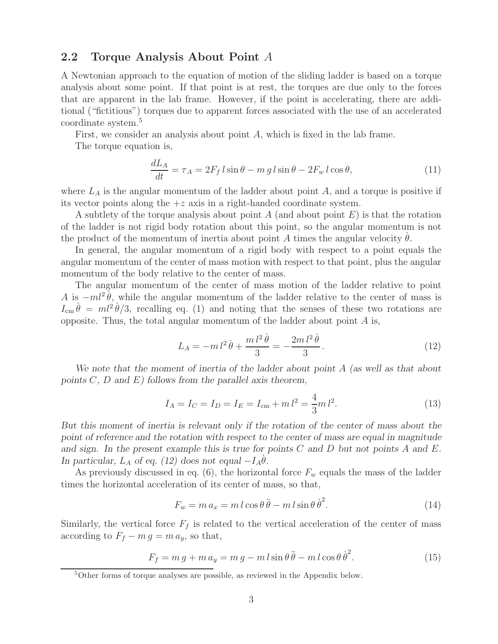### **2.2 Torque Analysis About Point** A

A Newtonian approach to the equation of motion of the sliding ladder is based on a torque analysis about some point. If that point is at rest, the torques are due only to the forces that are apparent in the lab frame. However, if the point is accelerating, there are additional ("fictitious") torques due to apparent forces associated with the use of an accelerated coordinate system.<sup>5</sup>

First, we consider an analysis about point A, which is fixed in the lab frame.

The torque equation is,

$$
\frac{dL_A}{dt} = \tau_A = 2F_f l \sin \theta - m g l \sin \theta - 2F_w l \cos \theta,\tag{11}
$$

where  $L_A$  is the angular momentum of the ladder about point  $A$ , and a torque is positive if its vector points along the  $+z$  axis in a right-handed coordinate system.

A subtlety of the torque analysis about point A (and about point  $E$ ) is that the rotation of the ladder is not rigid body rotation about this point, so the angular momentum is not the product of the momentum of inertia about point A times the angular velocity  $\dot{\theta}$ .

In general, the angular momentum of a rigid body with respect to a point equals the angular momentum of the center of mass motion with respect to that point, plus the angular momentum of the body relative to the center of mass.

The angular momentum of the center of mass motion of the ladder relative to point A is  $-ml^2\theta$ , while the angular momentum of the ladder relative to the center of mass is  $I_{\rm cm} \dot{\theta} = m l^2 \dot{\theta}/3$ , recalling eq. (1) and noting that the senses of these two rotations are opposite. Thus, the total angular momentum of the ladder about point  $A$  is,

$$
L_A = -m l^2 \dot{\theta} + \frac{m l^2 \dot{\theta}}{3} = -\frac{2m l^2 \dot{\theta}}{3}.
$$
 (12)

*We note that the moment of inertia of the ladder about point* A *(as well as that about points* C*,* D *and* E*) follows from the parallel axis theorem,*

$$
I_A = I_C = I_D = I_E = I_{\rm cm} + m l^2 = \frac{4}{3} m l^2.
$$
\n(13)

*But this moment of inertia is relevant only if the rotation of the center of mass about the point of reference and the rotation with respect to the center of mass are equal in magnitude and sign. In the present example this is true for points* C *and* D *but not points* A *and* E*. In particular,*  $L_A$  *of eq. (12) does not equal*  $-I_A \theta$ .

As previously discussed in eq.  $(6)$ , the horizontal force  $F_w$  equals the mass of the ladder times the horizontal acceleration of its center of mass, so that,

$$
F_w = m a_x = m l \cos \theta \ddot{\theta} - m l \sin \theta \dot{\theta}^2.
$$
 (14)

Similarly, the vertical force  $F_f$  is related to the vertical acceleration of the center of mass according to  $F_f - m g = m a_y$ , so that,

$$
F_f = m g + m a_y = m g - m l \sin \theta \ddot{\theta} - m l \cos \theta \dot{\theta}^2.
$$
 (15)

<sup>5</sup>Other forms of torque analyses are possible, as reviewed in the Appendix below.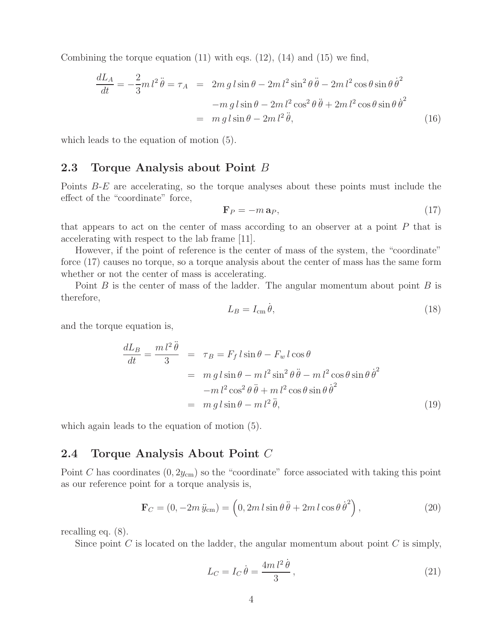Combining the torque equation  $(11)$  with eqs.  $(12)$ ,  $(14)$  and  $(15)$  we find,

$$
\frac{dL_A}{dt} = -\frac{2}{3}m l^2 \ddot{\theta} = \tau_A = 2m g l \sin \theta - 2m l^2 \sin^2 \theta \ddot{\theta} - 2m l^2 \cos \theta \sin \theta \dot{\theta}^2
$$

$$
-m g l \sin \theta - 2m l^2 \cos^2 \theta \ddot{\theta} + 2m l^2 \cos \theta \sin \theta \dot{\theta}^2
$$

$$
= m g l \sin \theta - 2m l^2 \ddot{\theta}, \qquad (16)
$$

which leads to the equation of motion (5).

### **2.3 Torque Analysis about Point** B

Points B-E are accelerating, so the torque analyses about these points must include the effect of the "coordinate" force,

$$
\mathbf{F}_P = -m\,\mathbf{a}_P,\tag{17}
$$

that appears to act on the center of mass according to an observer at a point  $P$  that is accelerating with respect to the lab frame [11].

However, if the point of reference is the center of mass of the system, the "coordinate" force (17) causes no torque, so a torque analysis about the center of mass has the same form whether or not the center of mass is accelerating.

Point  $B$  is the center of mass of the ladder. The angular momentum about point  $B$  is therefore,

$$
L_B = I_{\rm cm} \dot{\theta},\tag{18}
$$

and the torque equation is,

$$
\frac{dL_B}{dt} = \frac{m l^2 \ddot{\theta}}{3} = \tau_B = F_f l \sin \theta - F_w l \cos \theta
$$
  
=  $m g l \sin \theta - m l^2 \sin^2 \theta \ddot{\theta} - m l^2 \cos \theta \sin \theta \dot{\theta}^2$   
=  $m g l \sin \theta - m l^2 \ddot{\theta},$  (19)

which again leads to the equation of motion (5).

#### **2.4 Torque Analysis About Point** C

Point C has coordinates  $(0, 2y_{cm})$  so the "coordinate" force associated with taking this point as our reference point for a torque analysis is,

$$
\mathbf{F}_C = (0, -2m \ddot{y}_{cm}) = \left(0, 2m \, l \sin \theta \ddot{\theta} + 2m \, l \cos \theta \dot{\theta}^2\right),\tag{20}
$$

recalling eq. (8).

Since point  $C$  is located on the ladder, the angular momentum about point  $C$  is simply,

$$
L_C = I_C \dot{\theta} = \frac{4m l^2 \dot{\theta}}{3},\qquad(21)
$$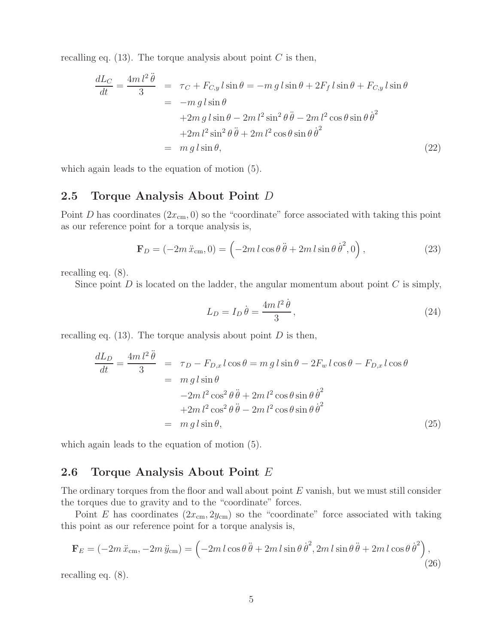recalling eq.  $(13)$ . The torque analysis about point C is then,

$$
\frac{dL_C}{dt} = \frac{4ml^2\ddot{\theta}}{3} = \tau_C + F_{C,y} l \sin \theta = -mg l \sin \theta + 2F_f l \sin \theta + F_{C,y} l \sin \theta
$$

$$
= -mg l \sin \theta
$$

$$
+ 2m g l \sin \theta - 2m l^2 \sin^2 \theta \ddot{\theta} - 2m l^2 \cos \theta \sin \theta \dot{\theta}^2
$$

$$
+ 2m l^2 \sin^2 \theta \ddot{\theta} + 2m l^2 \cos \theta \sin \theta \dot{\theta}^2
$$

$$
= mg l \sin \theta,
$$
(22)

which again leads to the equation of motion (5).

#### **2.5 Torque Analysis About Point** D

Point D has coordinates  $(2x_{cm}, 0)$  so the "coordinate" force associated with taking this point as our reference point for a torque analysis is,

$$
\mathbf{F}_D = (-2m\,\ddot{x}_{\rm cm}, 0) = \left(-2m\,l\cos\theta\,\ddot{\theta} + 2m\,l\sin\theta\,\dot{\theta}^2, 0\right),\tag{23}
$$

recalling eq. (8).

Since point  $D$  is located on the ladder, the angular momentum about point  $C$  is simply,

$$
L_D = I_D \dot{\theta} = \frac{4m l^2 \dot{\theta}}{3},\qquad(24)
$$

recalling eq.  $(13)$ . The torque analysis about point D is then,

$$
\frac{dL_D}{dt} = \frac{4m l^2 \ddot{\theta}}{3} = \tau_D - F_{D,x} l \cos \theta = m g l \sin \theta - 2F_w l \cos \theta - F_{D,x} l \cos \theta
$$
  

$$
= m g l \sin \theta
$$
  

$$
-2m l^2 \cos^2 \theta \ddot{\theta} + 2m l^2 \cos \theta \sin \theta \dot{\theta}^2
$$
  

$$
+2m l^2 \cos^2 \theta \ddot{\theta} - 2m l^2 \cos \theta \sin \theta \dot{\theta}^2
$$
  

$$
= m g l \sin \theta,
$$
 (25)

which again leads to the equation of motion  $(5)$ .

### **2.6 Torque Analysis About Point** E

The ordinary torques from the floor and wall about point E vanish, but we must still consider the torques due to gravity and to the "coordinate" forces.

Point E has coordinates  $(2x_{\rm cm}, 2y_{\rm cm})$  so the "coordinate" force associated with taking this point as our reference point for a torque analysis is,

$$
\mathbf{F}_E = (-2m\,\ddot{x}_{\rm cm}, -2m\,\ddot{y}_{\rm cm}) = \left(-2m\,l\cos\theta\,\ddot{\theta} + 2m\,l\sin\theta\,\dot{\theta}^2, 2m\,l\sin\theta\,\ddot{\theta} + 2m\,l\cos\theta\,\dot{\theta}^2\right),\tag{26}
$$

recalling eq. (8).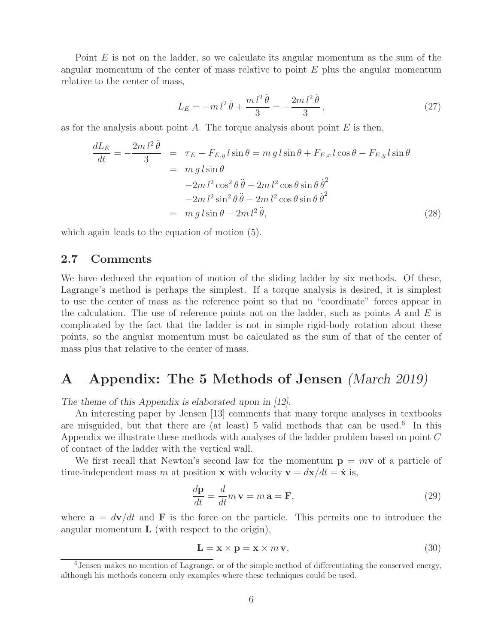Point E is not on the ladder, so we calculate its angular momentum as the sum of the angular momentum of the center of mass relative to point  $E$  plus the angular momentum relative to the center of mass,

$$
L_E = -m l^2 \dot{\theta} + \frac{m l^2 \dot{\theta}}{3} = -\frac{2m l^2 \dot{\theta}}{3},\qquad(27)
$$

as for the analysis about point A. The torque analysis about point  $E$  is then,

$$
\frac{dL_E}{dt} = -\frac{2m \, l^2 \ddot{\theta}}{3} = \tau_E - F_{E,y} l \sin \theta = m g l \sin \theta + F_{E,x} l \cos \theta - F_{E,y} l \sin \theta
$$

$$
= m g l \sin \theta
$$

$$
-2m l^2 \cos^2 \theta \ddot{\theta} + 2m l^2 \cos \theta \sin \theta \dot{\theta}^2
$$

$$
-2m l^2 \sin^2 \theta \ddot{\theta} - 2m l^2 \cos \theta \sin \theta \dot{\theta}^2
$$

$$
= m g l \sin \theta - 2m l^2 \ddot{\theta}, \qquad (28)
$$

which again leads to the equation of motion (5).

### **2.7 Comments**

We have deduced the equation of motion of the sliding ladder by six methods. Of these, Lagrange's method is perhaps the simplest. If a torque analysis is desired, it is simplest to use the center of mass as the reference point so that no "coordinate" forces appear in the calculation. The use of reference points not on the ladder, such as points A and E is complicated by the fact that the ladder is not in simple rigid-body rotation about these points, so the angular momentum must be calculated as the sum of that of the center of mass plus that relative to the center of mass.

# **A Appendix: The 5 Methods of Jensen** *(March 2019)*

*The theme of this Appendix is elaborated upon in [12].*

An interesting paper by Jensen [13] comments that many torque analyses in textbooks are misguided, but that there are (at least) 5 valid methods that can be used.<sup>6</sup> In this Appendix we illustrate these methods with analyses of the ladder problem based on point C of contact of the ladder with the vertical wall.

We first recall that Newton's second law for the momentum  $p = m v$  of a particle of time-independent mass m at position **x** with velocity  $\mathbf{v} = d\mathbf{x}/dt = \dot{\mathbf{x}}$  is,

$$
\frac{d\mathbf{p}}{dt} = \frac{d}{dt}m\,\mathbf{v} = m\,\mathbf{a} = \mathbf{F},\tag{29}
$$

where  $\mathbf{a} = d\mathbf{v}/dt$  and **F** is the force on the particle. This permits one to introduce the angular momentum **L** (with respect to the origin),

$$
\mathbf{L} = \mathbf{x} \times \mathbf{p} = \mathbf{x} \times m \mathbf{v},\tag{30}
$$

<sup>6</sup>Jensen makes no mention of Lagrange, or of the simple method of differentiating the conserved energy, although his methods concern only examples where these techniques could be used.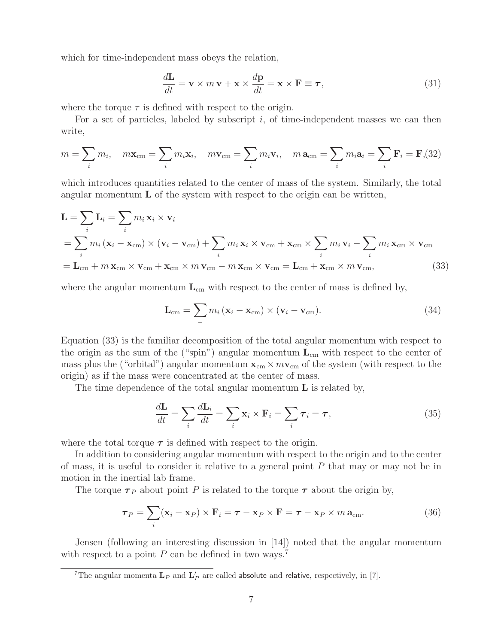which for time-independent mass obeys the relation,

$$
\frac{d\mathbf{L}}{dt} = \mathbf{v} \times m\,\mathbf{v} + \mathbf{x} \times \frac{d\mathbf{p}}{dt} = \mathbf{x} \times \mathbf{F} \equiv \boldsymbol{\tau},\tag{31}
$$

where the torque  $\tau$  is defined with respect to the origin.

For a set of particles, labeled by subscript  $i$ , of time-independent masses we can then write,

$$
m = \sum_{i} m_i, \quad m\mathbf{x}_{cm} = \sum_{i} m_i \mathbf{x}_i, \quad m\mathbf{v}_{cm} = \sum_{i} m_i \mathbf{v}_i, \quad m\mathbf{a}_{cm} = \sum_{i} m_i \mathbf{a}_i = \sum_{i} \mathbf{F}_i = \mathbf{F}, (32)
$$

which introduces quantities related to the center of mass of the system. Similarly, the total angular momentum **L** of the system with respect to the origin can be written,

$$
\mathbf{L} = \sum_{i} \mathbf{L}_{i} = \sum_{i} m_{i} \mathbf{x}_{i} \times \mathbf{v}_{i}
$$
  
=  $\sum_{i} m_{i} (\mathbf{x}_{i} - \mathbf{x}_{cm}) \times (\mathbf{v}_{i} - \mathbf{v}_{cm}) + \sum_{i} m_{i} \mathbf{x}_{i} \times \mathbf{v}_{cm} + \mathbf{x}_{cm} \times \sum_{i} m_{i} \mathbf{v}_{i} - \sum_{i} m_{i} \mathbf{x}_{cm} \times \mathbf{v}_{cm}= \mathbf{L}_{cm} + m \mathbf{x}_{cm} \times \mathbf{v}_{cm} + \mathbf{x}_{cm} \times m \mathbf{v}_{cm} - m \mathbf{x}_{cm} \times \mathbf{v}_{cm} = \mathbf{L}_{cm} + \mathbf{x}_{cm} \times m \mathbf{v}_{cm},$  (33)

where the angular momentum  $L_{cm}$  with respect to the center of mass is defined by,

$$
\mathbf{L}_{\text{cm}} = \sum_{i} m_i (\mathbf{x}_i - \mathbf{x}_{\text{cm}}) \times (\mathbf{v}_i - \mathbf{v}_{\text{cm}}).
$$
 (34)

Equation (33) is the familiar decomposition of the total angular momentum with respect to the origin as the sum of the ("spin") angular momentum **L**cm with respect to the center of mass plus the ("orbital") angular momentum  $\mathbf{x}_{cm} \times m\mathbf{v}_{cm}$  of the system (with respect to the origin) as if the mass were concentrated at the center of mass.

The time dependence of the total angular momentum **L** is related by,

$$
\frac{d\mathbf{L}}{dt} = \sum_{i} \frac{d\mathbf{L}_i}{dt} = \sum_{i} \mathbf{x}_i \times \mathbf{F}_i = \sum_{i} \tau_i = \tau,
$$
\n(35)

where the total torque  $\tau$  is defined with respect to the origin.

In addition to considering angular momentum with respect to the origin and to the center of mass, it is useful to consider it relative to a general point P that may or may not be in motion in the inertial lab frame.

The torque  $\tau_P$  about point P is related to the torque  $\tau$  about the origin by,

$$
\boldsymbol{\tau}_P = \sum_i (\mathbf{x}_i - \mathbf{x}_P) \times \mathbf{F}_i = \boldsymbol{\tau} - \mathbf{x}_P \times \mathbf{F} = \boldsymbol{\tau} - \mathbf{x}_P \times m \, \mathbf{a}_{\text{cm}}.
$$
 (36)

Jensen (following an interesting discussion in [14]) noted that the angular momentum with respect to a point  $P$  can be defined in two ways.<sup>7</sup>

<sup>&</sup>lt;sup>7</sup>The angular momenta  $\mathbf{L}_P$  and  $\mathbf{L}'_P$  are called absolute and relative, respectively, in [7].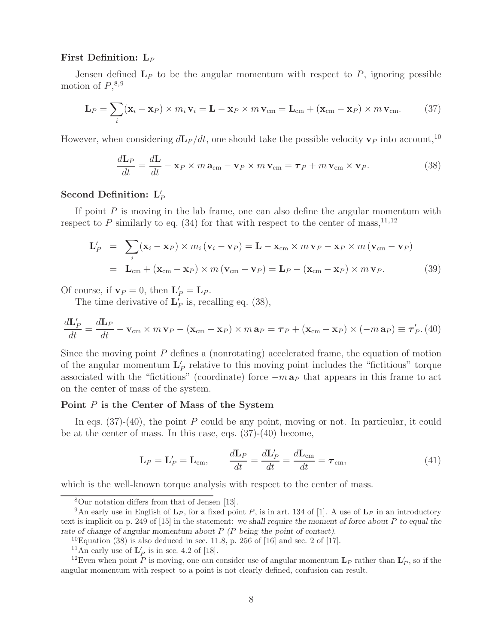#### **First Definition: L***<sup>P</sup>*

Jensen defined  $L_P$  to be the angular momentum with respect to  $P$ , ignoring possible motion of  $P,$ <sup>8,9</sup>

$$
\mathbf{L}_P = \sum_i (\mathbf{x}_i - \mathbf{x}_P) \times m_i \mathbf{v}_i = \mathbf{L} - \mathbf{x}_P \times m \mathbf{v}_{\rm cm} = \mathbf{L}_{\rm cm} + (\mathbf{x}_{\rm cm} - \mathbf{x}_P) \times m \mathbf{v}_{\rm cm}.
$$
 (37)

However, when considering  $d\mathbf{L}_P/dt$ , one should take the possible velocity  $\mathbf{v}_P$  into account,<sup>10</sup>

$$
\frac{d\mathbf{L}_P}{dt} = \frac{d\mathbf{L}}{dt} - \mathbf{x}_P \times m \, \mathbf{a}_{\text{cm}} - \mathbf{v}_P \times m \, \mathbf{v}_{\text{cm}} = \boldsymbol{\tau}_P + m \, \mathbf{v}_{\text{cm}} \times \mathbf{v}_P.
$$
 (38)

### Second Definition:  $L'_P$

If point  $P$  is moving in the lab frame, one can also define the angular momentum with respect to P similarly to eq. (34) for that with respect to the center of mass,<sup>11,12</sup>

$$
\mathbf{L}'_P = \sum_i (\mathbf{x}_i - \mathbf{x}_P) \times m_i (\mathbf{v}_i - \mathbf{v}_P) = \mathbf{L} - \mathbf{x}_{cm} \times m \mathbf{v}_P - \mathbf{x}_P \times m (\mathbf{v}_{cm} - \mathbf{v}_P)
$$
  
=  $\mathbf{L}_{cm} + (\mathbf{x}_{cm} - \mathbf{x}_P) \times m (\mathbf{v}_{cm} - \mathbf{v}_P) = \mathbf{L}_P - (\mathbf{x}_{cm} - \mathbf{x}_P) \times m \mathbf{v}_P.$  (39)

Of course, if  $\mathbf{v}_P = 0$ , then  $\mathbf{L}'_P = \mathbf{L}_P$ .

The time derivative of  $\mathbf{L}'_P$  is, recalling eq. (38),

$$
\frac{d\mathbf{L}_P'}{dt} = \frac{d\mathbf{L}_P}{dt} - \mathbf{v}_{\rm cm} \times m \mathbf{v}_P - (\mathbf{x}_{\rm cm} - \mathbf{x}_P) \times m \mathbf{a}_P = \boldsymbol{\tau}_P + (\mathbf{x}_{\rm cm} - \mathbf{x}_P) \times (-m \mathbf{a}_P) \equiv \boldsymbol{\tau}'_P. (40)
$$

Since the moving point P defines a (nonrotating) accelerated frame, the equation of motion of the angular momentum  $\mathbf{L}'_P$  relative to this moving point includes the "fictitious" torque associated with the "fictitious" (coordinate) force −m **a***<sup>P</sup>* that appears in this frame to act on the center of mass of the system.

#### **Point** P **is the Center of Mass of the System**

In eqs.  $(37)-(40)$ , the point P could be any point, moving or not. In particular, it could be at the center of mass. In this case, eqs. (37)-(40) become,

$$
\mathbf{L}_P = \mathbf{L}'_P = \mathbf{L}_{\text{cm}}, \qquad \frac{d\mathbf{L}_P}{dt} = \frac{d\mathbf{L}'_P}{dt} = \frac{d\mathbf{L}_{\text{cm}}}{dt} = \boldsymbol{\tau}_{\text{cm}}, \tag{41}
$$

which is the well-known torque analysis with respect to the center of mass.

<sup>8</sup>Our notation differs from that of Jensen [13].

<sup>&</sup>lt;sup>9</sup>An early use in English of  $\mathbf{L}_P$ , for a fixed point P, is in art. 134 of [1]. A use of  $\mathbf{L}_P$  in an introductory text is implicit on p. 249 of [15] in the statement: *we shall require the moment of force about* P *to equal the* rate of change of angular momentum about P (P being the point of contact).

 $^{10}$ Equation (38) is also deduced in sec. 11.8, p. 256 of [16] and sec. 2 of [17].

<sup>&</sup>lt;sup>11</sup>An early use of  $\mathbf{L}'_P$  is in sec. 4.2 of [18].

<sup>&</sup>lt;sup>12</sup>Even when point P is moving, one can consider use of angular momentum  $\mathbf{L}_P$  rather than  $\mathbf{L}'_P$ , so if the angular momentum with respect to a point is not clearly defined, confusion can result.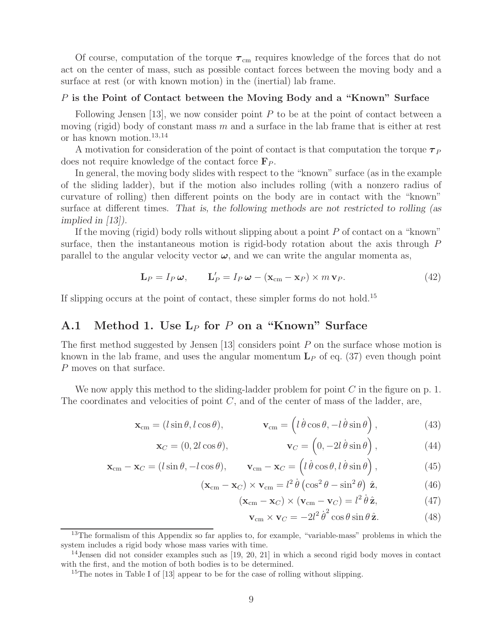Of course, computation of the torque  $\tau_{\rm cm}$  requires knowledge of the forces that do not act on the center of mass, such as possible contact forces between the moving body and a surface at rest (or with known motion) in the (inertial) lab frame.

#### P **is the Point of Contact between the Moving Body and a "Known" Surface**

Following Jensen  $[13]$ , we now consider point P to be at the point of contact between a moving (rigid) body of constant mass m and a surface in the lab frame that is either at rest or has known motion.13,14

A motivation for consideration of the point of contact is that computation the torque *τ <sup>P</sup>* does not require knowledge of the contact force **F***<sup>P</sup>* .

In general, the moving body slides with respect to the "known" surface (as in the example of the sliding ladder), but if the motion also includes rolling (with a nonzero radius of curvature of rolling) then different points on the body are in contact with the "known" surface at different times. *That is, the following methods are not restricted to rolling (as implied in [13]).*

If the moving (rigid) body rolls without slipping about a point P of contact on a "known" surface, then the instantaneous motion is rigid-body rotation about the axis through P parallel to the angular velocity vector  $\omega$ , and we can write the angular momenta as,

$$
\mathbf{L}_P = I_P \boldsymbol{\omega}, \qquad \mathbf{L}'_P = I_P \boldsymbol{\omega} - (\mathbf{x}_{cm} - \mathbf{x}_P) \times m \mathbf{v}_P.
$$
 (42)

If slipping occurs at the point of contact, these simpler forms do not hold.<sup>15</sup>

### **A.1 Method 1. Use L**<sup>P</sup> **for** P **on a "Known" Surface**

The first method suggested by Jensen [13] considers point  $P$  on the surface whose motion is known in the lab frame, and uses the angular momentum  $L<sub>P</sub>$  of eq. (37) even though point P moves on that surface.

We now apply this method to the sliding-ladder problem for point  $C$  in the figure on p. 1. The coordinates and velocities of point  $C$ , and of the center of mass of the ladder, are,

$$
\mathbf{x}_{\text{cm}} = (l\sin\theta, l\cos\theta), \qquad \mathbf{v}_{\text{cm}} = (l\dot{\theta}\cos\theta, -l\dot{\theta}\sin\theta), \qquad (43)
$$

$$
\mathbf{x}_C = (0, 2l\cos\theta), \qquad \qquad \mathbf{v}_C = \left(0, -2l\,\dot{\theta}\sin\theta\right), \qquad (44)
$$

$$
\mathbf{x}_{cm} - \mathbf{x}_{C} = (l\sin\theta, -l\cos\theta), \qquad \mathbf{v}_{cm} - \mathbf{x}_{C} = (l\dot{\theta}\cos\theta, l\dot{\theta}\sin\theta), \qquad (45)
$$

$$
(\mathbf{x}_{cm} - \mathbf{x}_{C}) \times \mathbf{v}_{cm} = l^{2} \dot{\theta} \left( \cos^{2} \theta - \sin^{2} \theta \right) \hat{\mathbf{z}}, \tag{46}
$$

$$
(\mathbf{x}_{cm} - \mathbf{x}_{C}) \times (\mathbf{v}_{cm} - \mathbf{v}_{C}) = l^{2} \dot{\theta} \hat{\mathbf{z}},
$$
 (47)

$$
\mathbf{v}_{\rm cm} \times \mathbf{v}_C = -2l^2 \dot{\theta}^2 \cos \theta \sin \theta \,\hat{\mathbf{z}}.\tag{48}
$$

<sup>&</sup>lt;sup>13</sup>The formalism of this Appendix so far applies to, for example, "variable-mass" problems in which the system includes a rigid body whose mass varies with time.

 $14$ Jensen did not consider examples such as  $[19, 20, 21]$  in which a second rigid body moves in contact with the first, and the motion of both bodies is to be determined.

<sup>&</sup>lt;sup>15</sup>The notes in Table I of  $[13]$  appear to be for the case of rolling without slipping.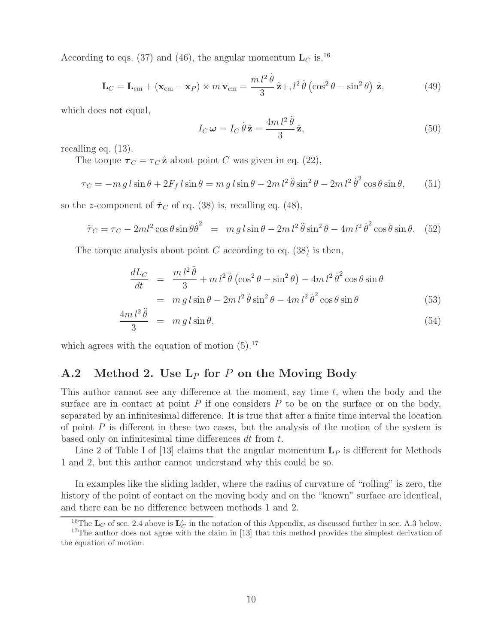According to eqs. (37) and (46), the angular momentum  $\mathbf{L}_C$  is, <sup>16</sup>

$$
\mathbf{L}_C = \mathbf{L}_{cm} + (\mathbf{x}_{cm} - \mathbf{x}_P) \times m \mathbf{v}_{cm} = \frac{m l^2 \dot{\theta}}{3} \hat{\mathbf{z}} + d^2 \dot{\theta} (\cos^2 \theta - \sin^2 \theta) \hat{\mathbf{z}}, \tag{49}
$$

which does not equal,

$$
I_C \omega = I_C \dot{\theta} \hat{\mathbf{z}} = \frac{4m l^2 \dot{\theta}}{3} \hat{\mathbf{z}},
$$
\n(50)

recalling eq. (13).

The torque  $\tau_C = \tau_C \hat{\mathbf{z}}$  about point C was given in eq. (22),

$$
\tau_C = -m \, g \, l \sin \theta + 2F_f \, l \sin \theta = m \, g \, l \sin \theta - 2m \, l^2 \, \ddot{\theta} \sin^2 \theta - 2m \, l^2 \, \dot{\theta}^2 \cos \theta \sin \theta,\qquad(51)
$$

so the *z*-component of  $\tilde{\tau}_C$  of eq. (38) is, recalling eq. (48),

$$
\tilde{\tau}_C = \tau_C - 2ml^2 \cos\theta \sin\theta \dot{\theta}^2 = mg l \sin\theta - 2ml^2 \ddot{\theta} \sin^2\theta - 4ml^2 \dot{\theta}^2 \cos\theta \sin\theta. \tag{52}
$$

The torque analysis about point  $C$  according to eq. (38) is then,

$$
\frac{dL_C}{dt} = \frac{m l^2 \ddot{\theta}}{3} + m l^2 \ddot{\theta} \left( \cos^2 \theta - \sin^2 \theta \right) - 4m l^2 \dot{\theta}^2 \cos \theta \sin \theta
$$

$$
= m g l \sin \theta - 2m l^2 \ddot{\theta} \sin^2 \theta - 4m l^2 \dot{\theta}^2 \cos \theta \sin \theta \tag{53}
$$

$$
\frac{4m\,l^2\,\ddot{\theta}}{3} = m\,g\,l\sin\theta,\tag{54}
$$

which agrees with the equation of motion  $(5).^{17}$ 

### **A.2 Method 2. Use L**<sup>P</sup> **for** P **on the Moving Body**

This author cannot see any difference at the moment, say time  $t$ , when the body and the surface are in contact at point  $P$  if one considers  $P$  to be on the surface or on the body, separated by an infinitesimal difference. It is true that after a finite time interval the location of point  $P$  is different in these two cases, but the analysis of the motion of the system is based only on infinitesimal time differences dt from t.

Line 2 of Table I of [13] claims that the angular momentum  $L<sub>P</sub>$  is different for Methods 1 and 2, but this author cannot understand why this could be so.

In examples like the sliding ladder, where the radius of curvature of "rolling" is zero, the history of the point of contact on the moving body and on the "known" surface are identical, and there can be no difference between methods 1 and 2.

<sup>&</sup>lt;sup>16</sup>The  $\mathbf{L}_C$  of sec. 2.4 above is  $\mathbf{L}_C'$  in the notation of this Appendix, as discussed further in sec. A.3 below. <sup>17</sup>The author does not agree with the claim in [13] that this method provides the simplest derivation of the equation of motion.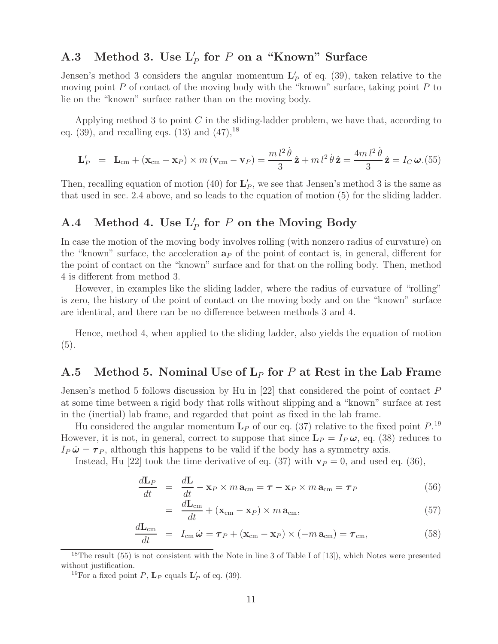# **A.3 Method 3. Use L** <sup>P</sup> **for** P **on a "Known" Surface**

Jensen's method 3 considers the angular momentum  $\mathbf{L}'_P$  of eq. (39), taken relative to the moving point  $P$  of contact of the moving body with the "known" surface, taking point  $P$  to lie on the "known" surface rather than on the moving body.

Applying method 3 to point  $C$  in the sliding-ladder problem, we have that, according to eq.  $(39)$ , and recalling eqs.  $(13)$  and  $(47)$ , <sup>18</sup>

$$
\mathbf{L}'_P = \mathbf{L}_{\rm cm} + (\mathbf{x}_{\rm cm} - \mathbf{x}_P) \times m (\mathbf{v}_{\rm cm} - \mathbf{v}_P) = \frac{m l^2 \dot{\theta}}{3} \hat{\mathbf{z}} + m l^2 \dot{\theta} \hat{\mathbf{z}} = \frac{4m l^2 \dot{\theta}}{3} \hat{\mathbf{z}} = I_C \boldsymbol{\omega}. (55)
$$

Then, recalling equation of motion (40) for  $\mathbf{L}'_P$ , we see that Jensen's method 3 is the same as that used in sec. 2.4 above, and so leads to the equation of motion (5) for the sliding ladder.

# $\mathbf{A.4}$  Method 4. Use  $\mathbf{L}'_P$  for  $P$  on the Moving Body

In case the motion of the moving body involves rolling (with nonzero radius of curvature) on the "known" surface, the acceleration  $a<sub>P</sub>$  of the point of contact is, in general, different for the point of contact on the "known" surface and for that on the rolling body. Then, method 4 is different from method 3.

However, in examples like the sliding ladder, where the radius of curvature of "rolling" is zero, the history of the point of contact on the moving body and on the "known" surface are identical, and there can be no difference between methods 3 and 4.

Hence, method 4, when applied to the sliding ladder, also yields the equation of motion (5).

### **A.5 Method 5. Nominal Use of L**<sup>P</sup> **for** P **at Rest in the Lab Frame**

Jensen's method 5 follows discussion by Hu in [22] that considered the point of contact P at some time between a rigid body that rolls without slipping and a "known" surface at rest in the (inertial) lab frame, and regarded that point as fixed in the lab frame.

Hu considered the angular momentum  $L_P$  of our eq. (37) relative to the fixed point  $P^{19}$ . However, it is not, in general, correct to suppose that since  $\mathbf{L}_P = I_P \boldsymbol{\omega}$ , eq. (38) reduces to  $I_P \ddot{\omega} = \tau_P$ , although this happens to be valid if the body has a symmetry axis.

Instead, Hu [22] took the time derivative of eq.  $(37)$  with  $\mathbf{v}_P = 0$ , and used eq.  $(36)$ ,

$$
\frac{d\mathbf{L}_P}{dt} = \frac{d\mathbf{L}}{dt} - \mathbf{x}_P \times m \,\mathbf{a}_{\text{cm}} = \boldsymbol{\tau} - \mathbf{x}_P \times m \,\mathbf{a}_{\text{cm}} = \boldsymbol{\tau}_P \tag{56}
$$

$$
= \frac{d\mathbf{L}_{\rm cm}}{dt} + (\mathbf{x}_{\rm cm} - \mathbf{x}_P) \times m \, \mathbf{a}_{\rm cm},\tag{57}
$$

$$
\frac{d\mathbf{L}_{\text{cm}}}{dt} = I_{\text{cm}}\dot{\boldsymbol{\omega}} = \boldsymbol{\tau}_P + (\mathbf{x}_{\text{cm}} - \mathbf{x}_P) \times (-m\,\mathbf{a}_{\text{cm}}) = \boldsymbol{\tau}_{\text{cm}},\tag{58}
$$

<sup>18</sup>The result (55) is not consistent with the Note in line 3 of Table I of [13]), which Notes were presented without justification.

<sup>19</sup>For a fixed point *P*, **L**<sub>*P*</sub> equals **L**<sup>'</sup><sub>*P*</sub> of eq. (39).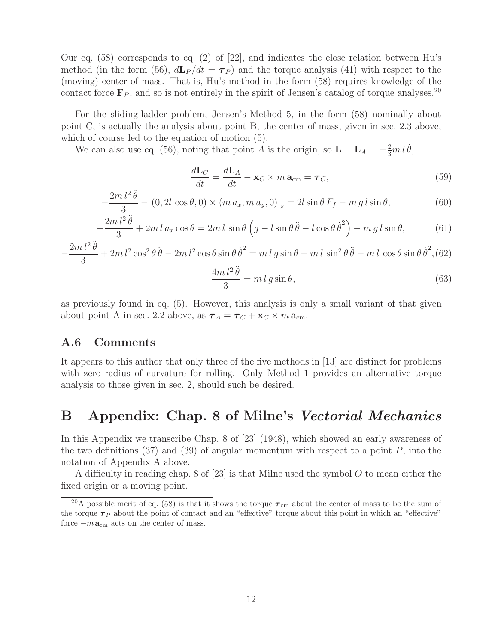Our eq. (58) corresponds to eq. (2) of [22], and indicates the close relation between Hu's method (in the form (56),  $d\mathbf{L}_P/dt = \boldsymbol{\tau}_P$ ) and the torque analysis (41) with respect to the (moving) center of mass. That is, Hu's method in the form (58) requires knowledge of the contact force  $\mathbf{F}_P$ , and so is not entirely in the spirit of Jensen's catalog of torque analyses.<sup>20</sup>

For the sliding-ladder problem, Jensen's Method 5, in the form (58) nominally about point C, is actually the analysis about point B, the center of mass, given in sec. 2.3 above, which of course led to the equation of motion (5).

We can also use eq. (56), noting that point A is the origin, so  $\mathbf{L} = \mathbf{L}_A = -\frac{2}{3}m l \dot{\theta}$ ,

$$
\frac{d\mathbf{L}_C}{dt} = \frac{d\mathbf{L}_A}{dt} - \mathbf{x}_C \times m \,\mathbf{a}_{\text{cm}} = \boldsymbol{\tau}_C,\tag{59}
$$

$$
-\frac{2m l^2 \ddot{\theta}}{3} - (0, 2l \cos \theta, 0) \times (m a_x, m a_y, 0)|_z = 2l \sin \theta F_f - mg l \sin \theta, \tag{60}
$$

$$
-\frac{2m\,l^2\,\ddot{\theta}}{3} + 2m\,l\,a_x\cos\theta = 2m\,l\,\sin\theta\,\left(g - l\sin\theta\,\ddot{\theta} - l\cos\theta\,\dot{\theta}^2\right) - mg\,l\sin\theta,\tag{61}
$$

$$
-\frac{2m l^2 \ddot{\theta}}{3} + 2m l^2 \cos^2 \theta \ddot{\theta} - 2m l^2 \cos \theta \sin \theta \dot{\theta}^2 = m l g \sin \theta - m l \sin^2 \theta \ddot{\theta} - m l \cos \theta \sin \theta \dot{\theta}^2, (62)
$$

$$
\frac{4m\,l^2\,\ddot{\theta}}{3} = m\,l\,g\sin\theta,\tag{63}
$$

as previously found in eq. (5). However, this analysis is only a small variant of that given about point A in sec. 2.2 above, as  $\boldsymbol{\tau}_A = \boldsymbol{\tau}_C + \mathbf{x}_C \times m \, \mathbf{a}_{\text{cm}}$ .

#### **A.6 Comments**

It appears to this author that only three of the five methods in [13] are distinct for problems with zero radius of curvature for rolling. Only Method 1 provides an alternative torque analysis to those given in sec. 2, should such be desired.

# **B Appendix: Chap. 8 of Milne's** *Vectorial Mechanics*

In this Appendix we transcribe Chap. 8 of [23] (1948), which showed an early awareness of the two definitions  $(37)$  and  $(39)$  of angular momentum with respect to a point P, into the notation of Appendix A above.

A difficulty in reading chap. 8 of  $[23]$  is that Milne used the symbol O to mean either the fixed origin or a moving point.

<sup>&</sup>lt;sup>20</sup>A possible merit of eq. (58) is that it shows the torque  $\tau_{\rm cm}$  about the center of mass to be the sum of the torque  $\tau_P$  about the point of contact and an "effective" torque about this point in which an "effective" force  $-m\mathbf{a}_{cm}$  acts on the center of mass.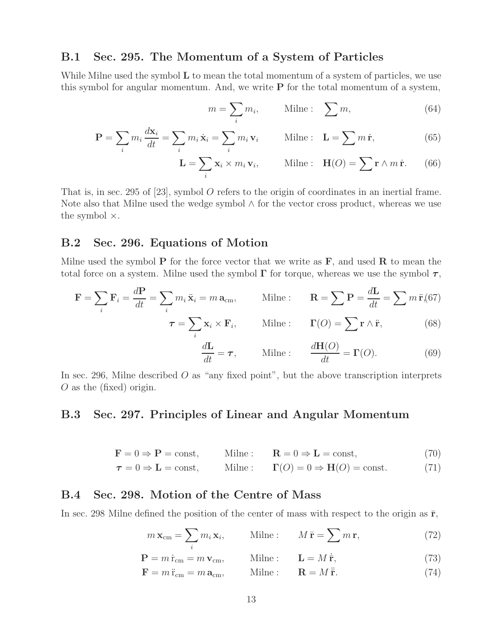### **B.1 Sec. 295. The Momentum of a System of Particles**

While Milne used the symbol **L** to mean the total momentum of a system of particles, we use this symbol for angular momentum. And, we write **P** for the total momentum of a system,

$$
m = \sum_{i} m_i, \qquad \text{Milne:} \quad \sum m, \tag{64}
$$

$$
\mathbf{P} = \sum_{i} m_i \frac{d\mathbf{x}_i}{dt} = \sum_{i} m_i \dot{\mathbf{x}}_i = \sum_{i} m_i \mathbf{v}_i \quad \text{Milne :} \quad \mathbf{L} = \sum_{i} m \dot{\mathbf{r}}, \tag{65}
$$

$$
\mathbf{L} = \sum_{i} \mathbf{x}_{i} \times m_{i} \mathbf{v}_{i}, \qquad \text{Milne}: \ \mathbf{H}(O) = \sum_{i} \mathbf{r} \wedge m \dot{\mathbf{r}}. \tag{66}
$$

That is, in sec. 295 of [23], symbol O refers to the origin of coordinates in an inertial frame. Note also that Milne used the wedge symbol ∧ for the vector cross product, whereas we use the symbol  $\times$ .

### **B.2 Sec. 296. Equations of Motion**

Milne used the symbol **P** for the force vector that we write as  $\mathbf{F}$ , and used **R** to mean the total force on a system. Milne used the symbol **Γ** for torque, whereas we use the symbol *τ*,

$$
\mathbf{F} = \sum_{i} \mathbf{F}_{i} = \frac{d\mathbf{P}}{dt} = \sum_{i} m_{i} \ddot{\mathbf{x}}_{i} = m \, \mathbf{a}_{cm}, \qquad \text{Milne :} \qquad \mathbf{R} = \sum \mathbf{P} = \frac{d\mathbf{L}}{dt} = \sum m \, \ddot{\mathbf{r}}_{i} (67)
$$

$$
\tau = \sum_{i} \mathbf{x}_{i} \times \mathbf{F}_{i}, \qquad \text{Milne :} \qquad \Gamma(O) = \sum_{i} \mathbf{r} \wedge \ddot{\mathbf{r}}, \tag{68}
$$

$$
\frac{d\mathbf{L}}{dt} = \boldsymbol{\tau}, \qquad \text{Milne :} \qquad \frac{d\mathbf{H}(O)}{dt} = \boldsymbol{\Gamma}(O). \tag{69}
$$

In sec. 296, Milne described  $O$  as "any fixed point", but the above transcription interprets O as the (fixed) origin.

### **B.3 Sec. 297. Principles of Linear and Angular Momentum**

$$
\mathbf{F} = 0 \Rightarrow \mathbf{P} = \text{const}, \qquad \text{Milne}: \qquad \mathbf{R} = 0 \Rightarrow \mathbf{L} = \text{const}, \tag{70}
$$

$$
\tau = 0 \Rightarrow L = \text{const}, \qquad \text{Milne}: \qquad \Gamma(O) = 0 \Rightarrow \mathbf{H}(O) = \text{const.} \tag{71}
$$

#### **B.4 Sec. 298. Motion of the Centre of Mass**

In sec. 298 Milne defined the position of the center of mass with respect to the origin as  $\bar{r}$ ,

$$
m\,\mathbf{x}_{\rm cm} = \sum_{i} m_i\,\mathbf{x}_i, \qquad \text{Milne :} \qquad M\,\bar{\mathbf{r}} = \sum m\,\mathbf{r}, \tag{72}
$$

$$
\mathbf{P} = m\,\dot{\mathbf{r}}_{\rm cm} = m\,\mathbf{v}_{\rm cm}, \qquad \text{Milne}: \qquad \mathbf{L} = M\,\dot{\mathbf{r}}, \tag{73}
$$

$$
\mathbf{F} = m\ddot{\mathbf{r}}_{\rm cm} = m\,\mathbf{a}_{\rm cm}, \qquad \text{Milne}: \qquad \mathbf{R} = M\ddot{\mathbf{r}}.\tag{74}
$$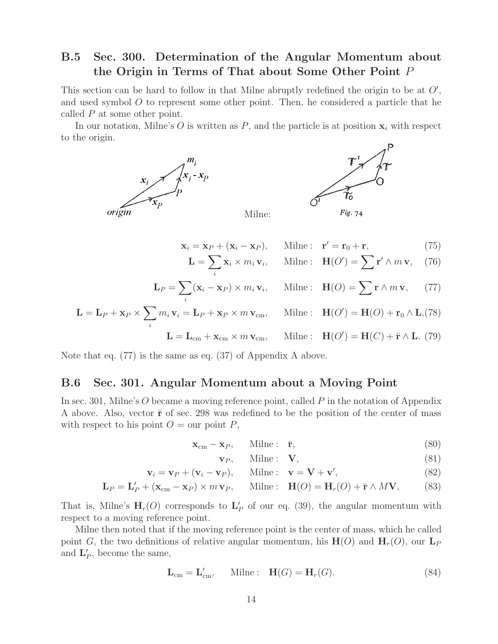### **B.5 Sec. 300. Determination of the Angular Momentum about the Origin in Terms of That about Some Other Point** P

This section can be hard to follow in that Milne abruptly redefined the origin to be at  $O'$ , and used symbol O to represent some other point. Then, he considered a particle that he called P at some other point.

In our notation, Milne's  $O$  is written as  $P$ , and the particle is at position  $\mathbf{x}_i$  with respect to the origin.



$$
\mathbf{x}_i = \mathbf{x}_P + (\mathbf{x}_i - \mathbf{x}_P), \quad \text{Milne}: \quad \mathbf{r}' = \mathbf{r}_0 + \mathbf{r}, \tag{75}
$$

$$
\mathbf{L} = \sum_{i} \mathbf{x}_{i} \times m_{i} \mathbf{v}_{i}, \quad \text{Milne:} \quad \mathbf{H}(O') = \sum_{i} \mathbf{r}' \wedge m \mathbf{v}, \quad (76)
$$

$$
\mathbf{L}_P = \sum_i (\mathbf{x}_i - \mathbf{x}_P) \times m_i \mathbf{v}_i, \quad \text{Milne:} \quad \mathbf{H}(O) = \sum \mathbf{r} \wedge m \mathbf{v}, \quad (77)
$$

$$
\mathbf{L} = \mathbf{L}_P + \mathbf{x}_P \times \sum_i m_i \mathbf{v}_i = \mathbf{L}_P + \mathbf{x}_P \times m \mathbf{v}_{\text{cm}}, \quad \text{Milne}: \quad \mathbf{H}(O') = \mathbf{H}(O) + \mathbf{r}_0 \wedge \mathbf{L}, (78)
$$

$$
\mathbf{L} = \mathbf{L}_{\text{cm}} + \mathbf{x}_{\text{cm}} \times m \mathbf{v}_{\text{cm}}, \quad \text{Milne}: \quad \mathbf{H}(O') = \mathbf{H}(C) + \bar{\mathbf{r}} \wedge \mathbf{L}. (79)
$$

Note that eq. (77) is the same as eq. (37) of Appendix A above.

#### **B.6 Sec. 301. Angular Momentum about a Moving Point**

In sec. 301, Milne's O became a moving reference point, called  $P$  in the notation of Appendix A above. Also, vector  $\bar{\mathbf{r}}$  of sec. 298 was redefined to be the position of the center of mass with respect to his point  $O = \text{our point } P$ ,

$$
\mathbf{x}_{cm} - \mathbf{x}_P, \qquad \text{Milne}: \quad \bar{\mathbf{r}}, \tag{80}
$$

$$
\mathbf{v}_P, \qquad \text{Milne}: \quad \mathbf{V}, \tag{81}
$$

$$
\mathbf{v}_i = \mathbf{v}_P + (\mathbf{v}_i - \mathbf{v}_P), \quad \text{Milne}: \quad \mathbf{v} = \mathbf{V} + \mathbf{v}', \tag{82}
$$

$$
\mathbf{L}_P = \mathbf{L}'_P + (\mathbf{x}_{cm} - \mathbf{x}_P) \times m \mathbf{v}_P, \quad \text{Milne}: \quad \mathbf{H}(O) = \mathbf{H}_r(O) + \bar{\mathbf{r}} \wedge M \mathbf{V}, \tag{83}
$$

That is, Milne's  $H_r(O)$  corresponds to  $L'_P$  of our eq. (39), the angular momentum with respect to a moving reference point.

Milne then noted that if the moving reference point is the center of mass, which he called point G, the two definitions of relative angular momentum, his  $H(O)$  and  $H_r(O)$ , our  $L_p$ and  $\mathbf{L}'_P$ , become the same,

$$
\mathbf{L}_{\text{cm}} = \mathbf{L}'_{\text{cm}}, \qquad \text{Milne}: \quad \mathbf{H}(G) = \mathbf{H}_r(G). \tag{84}
$$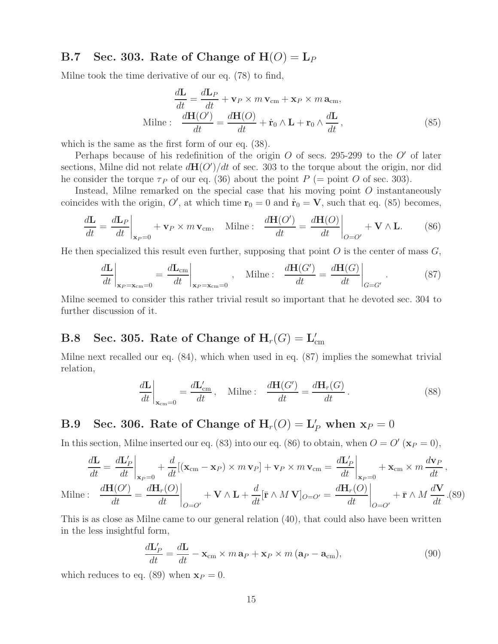### **B.7** Sec. 303. Rate of Change of  $H(O) = L_P$

Milne took the time derivative of our eq. (78) to find,

$$
\frac{d\mathbf{L}}{dt} = \frac{d\mathbf{L}_P}{dt} + \mathbf{v}_P \times m\,\mathbf{v}_{cm} + \mathbf{x}_P \times m\,\mathbf{a}_{cm},
$$
  
Milne : 
$$
\frac{d\mathbf{H}(O')}{dt} = \frac{d\mathbf{H}(O)}{dt} + \dot{\mathbf{r}}_0 \wedge \mathbf{L} + \mathbf{r}_0 \wedge \frac{d\mathbf{L}}{dt},
$$
 (85)

which is the same as the first form of our eq. (38).

Perhaps because of his redefinition of the origin  $O$  of secs. 295-299 to the  $O'$  of later sections, Milne did not relate  $d\mathbf{H}(O')/dt$  of sec. 303 to the torque about the origin, nor did he consider the torque  $\tau_P$  of our eq. (36) about the point P (= point O of sec. 303).

Instead, Milne remarked on the special case that his moving point O instantaneously coincides with the origin, O', at which time  $\mathbf{r}_0 = 0$  and  $\dot{\mathbf{r}}_0 = \mathbf{V}$ , such that eq. (85) becomes,

$$
\frac{d\mathbf{L}}{dt} = \frac{d\mathbf{L}_P}{dt}\bigg|_{\mathbf{x}_P = 0} + \mathbf{v}_P \times m\,\mathbf{v}_{\rm cm}, \quad \text{Milne :} \quad \frac{d\mathbf{H}(O')}{dt} = \frac{d\mathbf{H}(O)}{dt}\bigg|_{O = O'} + \mathbf{V} \wedge \mathbf{L}.
$$
 (86)

He then specialized this result even further, supposing that point  $O$  is the center of mass  $G$ ,

$$
\left. \frac{d\mathbf{L}}{dt} \right|_{\mathbf{x}_P = \mathbf{x}_{cm} = 0} = \left. \frac{d\mathbf{L}_{cm}}{dt} \right|_{\mathbf{x}_P = \mathbf{x}_{cm} = 0}, \quad \text{Milne :} \quad \left. \frac{d\mathbf{H}(G')}{dt} = \left. \frac{d\mathbf{H}(G)}{dt} \right|_{G = G'} \tag{87}
$$

Milne seemed to consider this rather trivial result so important that he devoted sec. 304 to further discussion of it.

## $\textbf{B.8} \quad \textbf{Sec. 305.} \text{ Rate of Change of } \textbf{H}_r(G) = \textbf{L}_{\text{cm}}^\prime$

Milne next recalled our eq. (84), which when used in eq. (87) implies the somewhat trivial relation,

$$
\left. \frac{d\mathbf{L}}{dt} \right|_{\mathbf{x}_{cm}=0} = \frac{d\mathbf{L}_{cm}'}{dt}, \quad \text{Milne :} \quad \frac{d\mathbf{H}(G')}{dt} = \frac{d\mathbf{H}_r(G)}{dt}.
$$
\n(88)

# **B.9** Sec. 306. Rate of Change of  $H_r(O) = L'_P$  when  $\mathbf{x}_P = 0$

In this section, Milne inserted our eq. (83) into our eq. (86) to obtain, when  $O = O'(x_P = 0)$ ,

$$
\frac{d\mathbf{L}}{dt} = \frac{d\mathbf{L}'_P}{dt}\bigg|_{\mathbf{x}_P=0} + \frac{d}{dt}[(\mathbf{x}_{cm} - \mathbf{x}_P) \times m \mathbf{v}_P] + \mathbf{v}_P \times m \mathbf{v}_{cm} = \frac{d\mathbf{L}'_P}{dt}\bigg|_{\mathbf{x}_P=0} + \mathbf{x}_{cm} \times m \frac{d\mathbf{v}_P}{dt},
$$
  
Milne : 
$$
\frac{d\mathbf{H}(O')}{dt} = \frac{d\mathbf{H}_r(O)}{dt}\bigg|_{O=O'} + \mathbf{V} \wedge \mathbf{L} + \frac{d}{dt}[\bar{\mathbf{r}} \wedge M \mathbf{V}]_{O=O'} = \frac{d\mathbf{H}_r(O)}{dt}\bigg|_{O=O'} + \bar{\mathbf{r}} \wedge M \frac{d\mathbf{V}}{dt}.
$$
(89)

This is as close as Milne came to our general relation (40), that could also have been written in the less insightful form,

$$
\frac{d\mathbf{L}'_P}{dt} = \frac{d\mathbf{L}}{dt} - \mathbf{x}_{cm} \times m \mathbf{a}_P + \mathbf{x}_P \times m (\mathbf{a}_P - \mathbf{a}_{cm}),
$$
\n(90)

which reduces to eq. (89) when  $\mathbf{x}_P = 0$ .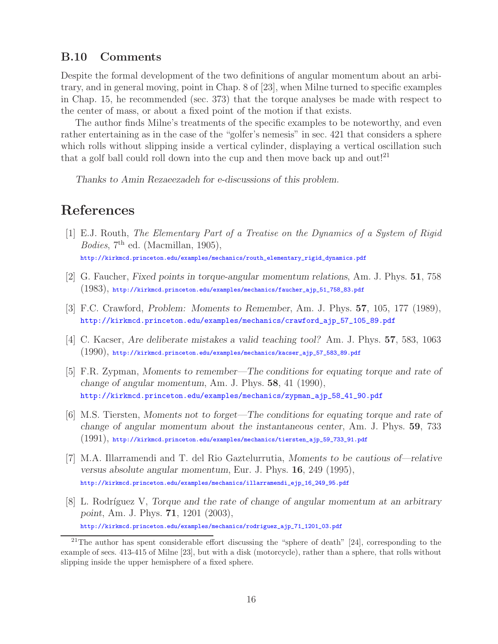### **B.10 Comments**

Despite the formal development of the two definitions of angular momentum about an arbitrary, and in general moving, point in Chap. 8 of [23], when Milne turned to specific examples in Chap. 15, he recommended (sec. 373) that the torque analyses be made with respect to the center of mass, or about a fixed point of the motion if that exists.

The author finds Milne's treatments of the specific examples to be noteworthy, and even rather entertaining as in the case of the "golfer's nemesis" in sec. 421 that considers a sphere which rolls without slipping inside a vertical cylinder, displaying a vertical oscillation such that a golf ball could roll down into the cup and then move back up and out!<sup>21</sup>

*Thanks to Amin Rezaeezadeh for e-discussions of this problem.*

# **References**

- [1] E.J. Routh, *The Elementary Part of a Treatise on the Dynamics of a System of Rigid Bodies*, 7th ed. (Macmillan, 1905), http://kirkmcd.princeton.edu/examples/mechanics/routh\_elementary\_rigid\_dynamics.pdf
- [2] G. Faucher, *Fixed points in torque-angular momentum relations*, Am. J. Phys. **51**, 758 (1983), http://kirkmcd.princeton.edu/examples/mechanics/faucher\_ajp\_51\_758\_83.pdf
- [3] F.C. Crawford, *Problem: Moments to Remember*, Am. J. Phys. **57**, 105, 177 (1989), http://kirkmcd.princeton.edu/examples/mechanics/crawford\_ajp\_57\_105\_89.pdf
- [4] C. Kacser, *Are deliberate mistakes a valid teaching tool?* Am. J. Phys. **57**, 583, 1063  $(1990)$ , http://kirkmcd.princeton.edu/examples/mechanics/kacser\_ajp\_57\_583\_89.pdf
- [5] F.R. Zypman, *Moments to remember—The conditions for equating torque and rate of change of angular momentum*, Am. J. Phys. **58**, 41 (1990), http://kirkmcd.princeton.edu/examples/mechanics/zypman\_ajp\_58\_41\_90.pdf
- [6] M.S. Tiersten, *Moments not to forget—The conditions for equating torque and rate of change of angular momentum about the instantaneous center*, Am. J. Phys. **59**, 733 (1991), http://kirkmcd.princeton.edu/examples/mechanics/tiersten\_ajp\_59\_733\_91.pdf
- [7] M.A. Illarramendi and T. del Rio Gaztelurrutia, *Moments to be cautious of—relative versus absolute angular momentum*, Eur. J. Phys. **16**, 249 (1995), http://kirkmcd.princeton.edu/examples/mechanics/illarramendi\_ejp\_16\_249\_95.pdf
- [8] L. Rodríguez V, *Torque and the rate of change of angular momentum at an arbitrary point*, Am. J. Phys. **71**, 1201 (2003), http://kirkmcd.princeton.edu/examples/mechanics/rodriguez\_ajp\_71\_1201\_03.pdf

<sup>&</sup>lt;sup>21</sup>The author has spent considerable effort discussing the "sphere of death"  $[24]$ , corresponding to the example of secs. 413-415 of Milne [23], but with a disk (motorcycle), rather than a sphere, that rolls without slipping inside the upper hemisphere of a fixed sphere.